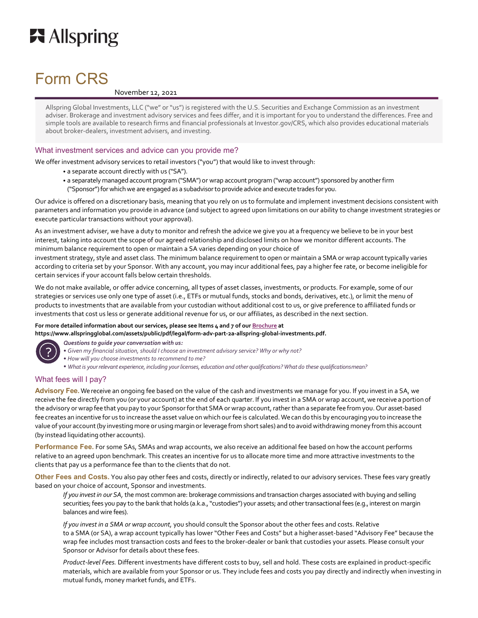

# Form CRS

# November 12, 2021

Allspring Global Investments, LLC ("we" or "us") is registered with the U.S. Securities and Exchange Commission as an investment adviser. Brokerage and investment advisory services and fees differ, and it is important for you to understand the differences. Free and simple tools are available to research firms and financial professionals at Investor.gov/CRS, which also provides educational materials about broker-dealers, investment advisers, and investing.

# What investment services and advice can you provide me?

We offer investment advisory services to retail investors ("you") that would like to invest through:

- a separate account directly with us ("SA").
- a separately managed account program ("SMA") or wrap account program ("wrap account") sponsored by another firm ("Sponsor") for which we are engaged as a subadvisor to provide advice and execute trades for you.

Our advice is offered on a discretionary basis, meaning that you rely on us to formulate and implement investment decisions consistent with parameters and information you provide in advance (and subject to agreed upon limitations on our ability to change investment strategies or execute particular transactions without your approval).

As an investment adviser, we have a duty to monitor and refresh the advice we give you at a frequency we believe to be in your best interest, taking into account the scope of our agreed relationship and disclosed limits on how we monitor different accounts. The minimum balance requirement to open or maintain a SA varies depending on your choice of

investment strategy, style and asset class. The minimum balance requirement to open or maintain a SMA or wrap account typically varies according to criteria set by your Sponsor. With any account, you may incur additional fees, pay a higher fee rate, or become ineligible for certain services if your account falls below certain thresholds.

We do not make available, or offer advice concerning, all types of asset classes, investments, or products. For example, some of our strategies or services use only one type of asset (i.e., ETFs or mutual funds, stocks and bonds, derivatives, etc.), or limit the menu of products to investments that are available from your custodian without additional cost to us, or give preference to affiliated funds or investments that cost us less or generate additional revenue for us, or our affiliates, as described in the next section.

# For more detailed information about our services, please see Items 4 and 7 of our **Brochure** at

**https://www.allspringglobal.com/assets/public/pdf/legal/form-adv-part-2a-allspring-global-investments.pdf.** 



*Questions to guide your conversation with us:*

- *• Given my financial situation, should I choose an investment advisory service? Why or why not?*
- *• How will you choose investments to recommend to me?*
- *• What is your relevant experience, including your licenses, education and other qualifications? What do these qualifications mean?*

# What fees will I pay?

**Advisory Fee.** We receive an ongoing fee based on the value of the cash and investments we manage for you. If you invest in a SA, we receive the fee directly from you (or your account) at the end of each quarter. If you invest in a SMA or wrap account, we receive a portion of the advisory or wrap fee that you pay to your Sponsor for that SMA or wrap account, rather than a separate fee from you. Our asset-based fee creates an incentive for us to increase the asset value on which our fee is calculated. We can do this by encouraging you to increase the value of your account (by investing more or using margin or leverage from short sales) and to avoid withdrawing money from this account (by instead liquidating other accounts).

**Performance Fee.** For some SAs, SMAs and wrap accounts, we also receive an additional fee based on how the account performs relative to an agreed upon benchmark. This creates an incentive for us to allocate more time and more attractive investments to the clients that pay us a performance fee than to the clients that do not.

**Other Fees and Costs.** You also pay other fees and costs, directly or indirectly, related to our advisory services. These fees vary greatly based on your choice of account, Sponsor and investments.

*If you invest in our SA,* the most common are: brokerage commissions and transaction charges associated with buying and selling securities; fees you pay to the bank that holds (a.k.a., "custodies") your assets; and other transactional fees (e.g., interest on margin balances and wire fees).

*If you invest in a SMA or wrap account,* you should consult the Sponsor about the other fees and costs. Relative to a SMA (or SA), a wrap account typically has lower "Other Fees and Costs" but a higher asset-based "Advisory Fee" because the wrap fee includes most transaction costs and fees to the broker-dealer or bank that custodies your assets. Please consult your Sponsor or Advisor for details about these fees.

*Product-level Fees.* Different investments have different costs to buy, sell and hold. These costs are explained in product-specific materials, which are available from your Sponsor or us. They include fees and costs you pay directly and indirectly when investing in mutual funds, money market funds, and ETFs.